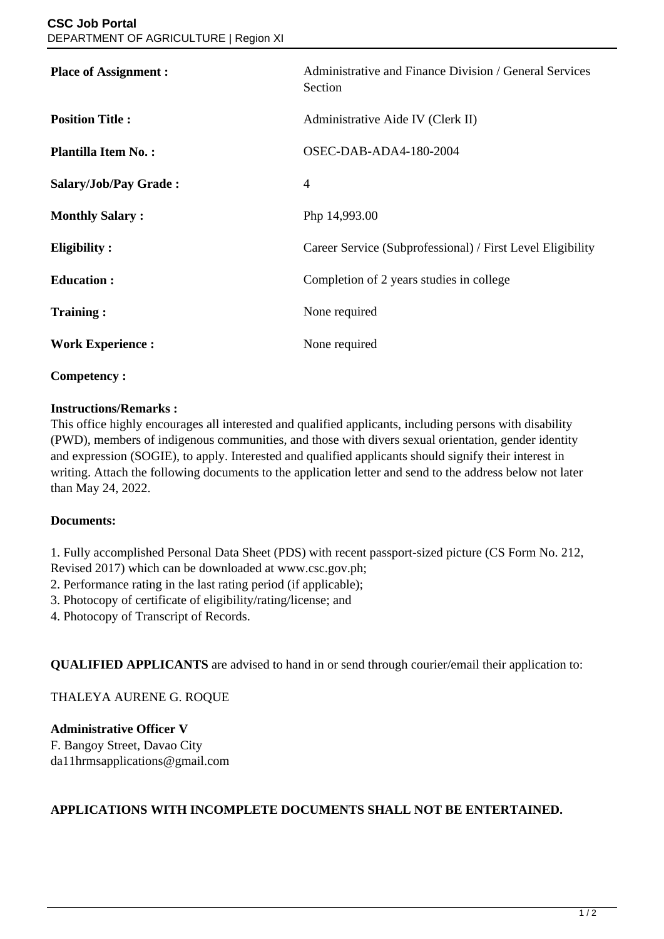| <b>Place of Assignment:</b> | Administrative and Finance Division / General Services<br>Section |
|-----------------------------|-------------------------------------------------------------------|
| <b>Position Title:</b>      | Administrative Aide IV (Clerk II)                                 |
| <b>Plantilla Item No.:</b>  | OSEC-DAB-ADA4-180-2004                                            |
| Salary/Job/Pay Grade:       | 4                                                                 |
| <b>Monthly Salary:</b>      | Php 14,993.00                                                     |
| <b>Eligibility:</b>         | Career Service (Subprofessional) / First Level Eligibility        |
| <b>Education:</b>           | Completion of 2 years studies in college                          |
| <b>Training:</b>            | None required                                                     |
| <b>Work Experience:</b>     | None required                                                     |
|                             |                                                                   |

### **Competency :**

### **Instructions/Remarks :**

This office highly encourages all interested and qualified applicants, including persons with disability (PWD), members of indigenous communities, and those with divers sexual orientation, gender identity and expression (SOGIE), to apply. Interested and qualified applicants should signify their interest in writing. Attach the following documents to the application letter and send to the address below not later than May 24, 2022.

# **Documents:**

1. Fully accomplished Personal Data Sheet (PDS) with recent passport-sized picture (CS Form No. 212, Revised 2017) which can be downloaded at www.csc.gov.ph;

2. Performance rating in the last rating period (if applicable);

3. Photocopy of certificate of eligibility/rating/license; and

4. Photocopy of Transcript of Records.

**QUALIFIED APPLICANTS** are advised to hand in or send through courier/email their application to:

# THALEYA AURENE G. ROQUE

**Administrative Officer V** F. Bangoy Street, Davao City da11hrmsapplications@gmail.com

# **APPLICATIONS WITH INCOMPLETE DOCUMENTS SHALL NOT BE ENTERTAINED.**